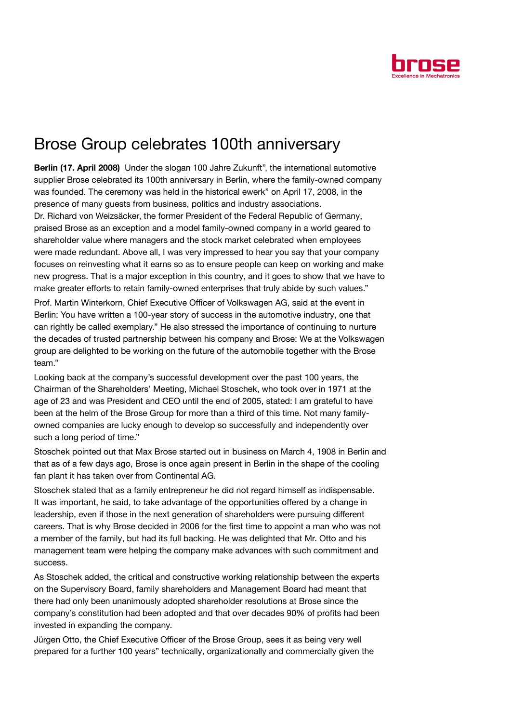

## Brose Group celebrates 100th anniversary

Berlin (17. April 2008) Under the slogan 100 Jahre Zukunft", the international automotive supplier Brose celebrated its 100th anniversary in Berlin, where the family-owned company was founded. The ceremony was held in the historical ewerk" on April 17, 2008, in the presence of many guests from business, politics and industry associations. Dr. Richard von Weizsäcker, the former President of the Federal Republic of Germany, praised Brose as an exception and a model family-owned company in a world geared to shareholder value where managers and the stock market celebrated when employees were made redundant. Above all, I was very impressed to hear you say that your company focuses on reinvesting what it earns so as to ensure people can keep on working and make new progress. That is a major exception in this country, and it goes to show that we have to make greater efforts to retain family-owned enterprises that truly abide by such values."

Prof. Martin Winterkorn, Chief Executive Officer of Volkswagen AG, said at the event in Berlin: You have written a 100-year story of success in the automotive industry, one that can rightly be called exemplary." He also stressed the importance of continuing to nurture the decades of trusted partnership between his company and Brose: We at the Volkswagen group are delighted to be working on the future of the automobile together with the Brose team."

Looking back at the company's successful development over the past 100 years, the Chairman of the Shareholders' Meeting, Michael Stoschek, who took over in 1971 at the age of 23 and was President and CEO until the end of 2005, stated: I am grateful to have been at the helm of the Brose Group for more than a third of this time. Not many familyowned companies are lucky enough to develop so successfully and independently over such a long period of time."

Stoschek pointed out that Max Brose started out in business on March 4, 1908 in Berlin and that as of a few days ago, Brose is once again present in Berlin in the shape of the cooling fan plant it has taken over from Continental AG.

Stoschek stated that as a family entrepreneur he did not regard himself as indispensable. It was important, he said, to take advantage of the opportunities offered by a change in leadership, even if those in the next generation of shareholders were pursuing different careers. That is why Brose decided in 2006 for the first time to appoint a man who was not a member of the family, but had its full backing. He was delighted that Mr. Otto and his management team were helping the company make advances with such commitment and success.

As Stoschek added, the critical and constructive working relationship between the experts on the Supervisory Board, family shareholders and Management Board had meant that there had only been unanimously adopted shareholder resolutions at Brose since the company's constitution had been adopted and that over decades 90% of profits had been invested in expanding the company.

Jürgen Otto, the Chief Executive Officer of the Brose Group, sees it as being very well prepared for a further 100 years" technically, organizationally and commercially given the